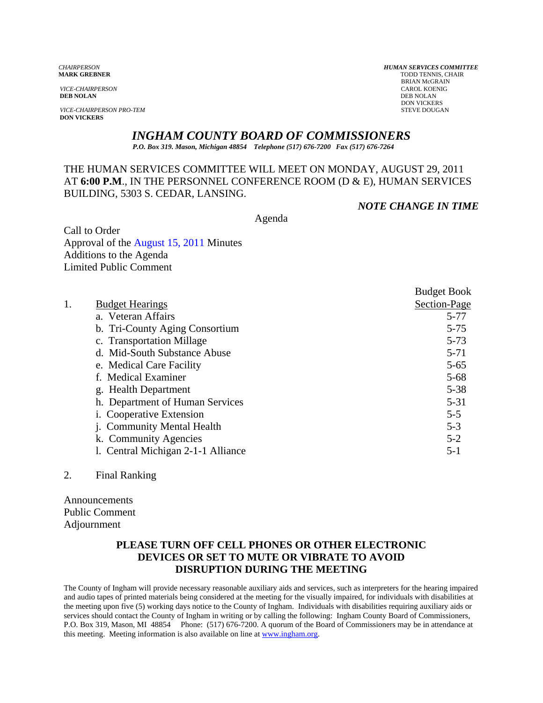*VICE-CHAIRPERSON* CAROL KOENIG CAROL KOENIG CAROL KOENIG CAROL KOENIG CAROL KOENIG CAROL KOENIG CAROL KOENIG CAROL KOENIG CAROL KOENIG KOENIG CAROL KOENIG CAROL KOENIG CAROL KOENIG CAROL KOENIG CAROL KOENIG CAROL KOENIG C **DEB NOLAN** DEB NOLAN

**VICE-CHAIRPERSON PRO-TEM DON VICKERS** 

*CHAIRPERSON HUMAN SERVICES COMMITTEE* TODD TENNIS, CHAIR BRIAN McGRAIN<br>CAROL KOENIG DON VICKERS<br>STEVE DOUGAN

## *INGHAM COUNTY BOARD OF COMMISSIONERS*

*P.O. Box 319. Mason, Michigan 48854 Telephone (517) 676-7200 Fax (517) 676-7264*

### THE HUMAN SERVICES COMMITTEE WILL MEET ON MONDAY, AUGUST 29, 2011 AT **6:00 P.M**., IN THE PERSONNEL CONFERENCE ROOM (D & E), HUMAN SERVICES BUILDING, 5303 S. CEDAR, LANSING.

#### *NOTE CHANGE IN TIME*

Agenda

Call to Order Approval of t[he August 15, 2011 Minutes](#page-1-0)  Additions to the Agenda Limited Public Comment

|                                    | <b>Budget Book</b> |
|------------------------------------|--------------------|
| 1.<br><b>Budget Hearings</b>       | Section-Page       |
| a. Veteran Affairs                 | $5 - 77$           |
| b. Tri-County Aging Consortium     | $5 - 75$           |
| c. Transportation Millage          | $5 - 73$           |
| d. Mid-South Substance Abuse       | $5 - 71$           |
| e. Medical Care Facility           | $5 - 65$           |
| f. Medical Examiner                | $5 - 68$           |
| g. Health Department               | $5 - 38$           |
| h. Department of Human Services    | $5 - 31$           |
| i. Cooperative Extension           | $5 - 5$            |
| <b>Community Mental Health</b>     | $5 - 3$            |
| k. Community Agencies              | $5 - 2$            |
| 1. Central Michigan 2-1-1 Alliance | $5-1$              |

#### 2. Final Ranking

Announcements Public Comment Adjournment

### **PLEASE TURN OFF CELL PHONES OR OTHER ELECTRONIC DEVICES OR SET TO MUTE OR VIBRATE TO AVOID DISRUPTION DURING THE MEETING**

The County of Ingham will provide necessary reasonable auxiliary aids and services, such as interpreters for the hearing impaired and audio tapes of printed materials being considered at the meeting for the visually impaired, for individuals with disabilities at the meeting upon five (5) working days notice to the County of Ingham. Individuals with disabilities requiring auxiliary aids or services should contact the County of Ingham in writing or by calling the following: Ingham County Board of Commissioners, P.O. Box 319, Mason, MI 48854 Phone: (517) 676-7200. A quorum of the Board of Commissioners may be in attendance at this meeting. Meeting information is also available on line at www.ingham.org.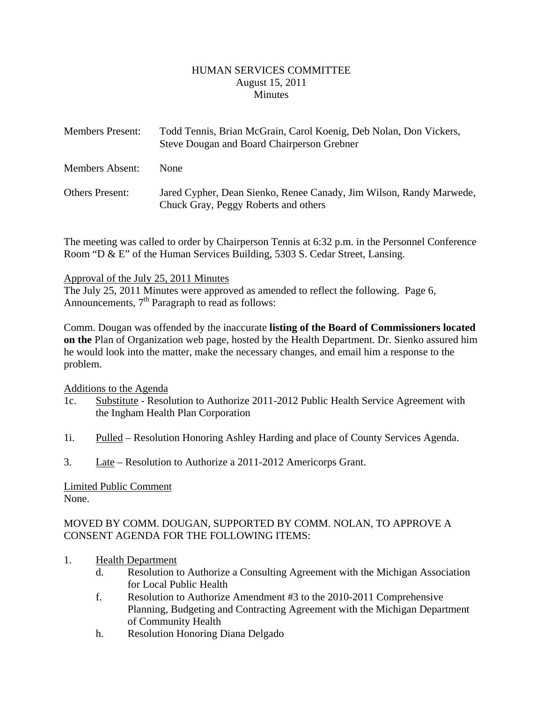#### HUMAN SERVICES COMMITTEE August 15, 2011 **Minutes**

<span id="page-1-0"></span>

| <b>Members Present:</b> | Todd Tennis, Brian McGrain, Carol Koenig, Deb Nolan, Don Vickers,<br>Steve Dougan and Board Chairperson Grebner |
|-------------------------|-----------------------------------------------------------------------------------------------------------------|
| Members Absent:         | <b>None</b>                                                                                                     |
| <b>Others Present:</b>  | Jared Cypher, Dean Sienko, Renee Canady, Jim Wilson, Randy Marwede,<br>Chuck Gray, Peggy Roberts and others     |

The meeting was called to order by Chairperson Tennis at 6:32 p.m. in the Personnel Conference Room "D & E" of the Human Services Building, 5303 S. Cedar Street, Lansing.

#### Approval of the July 25, 2011 Minutes

The July 25, 2011 Minutes were approved as amended to reflect the following. Page 6, Announcements,  $7<sup>th</sup>$  Paragraph to read as follows:

Comm. Dougan was offended by the inaccurate **listing of the Board of Commissioners located on the** Plan of Organization web page, hosted by the Health Department. Dr. Sienko assured him he would look into the matter, make the necessary changes, and email him a response to the problem.

#### Additions to the Agenda

- 1c. Substitute Resolution to Authorize 2011-2012 Public Health Service Agreement with the Ingham Health Plan Corporation
- 1i. Pulled Resolution Honoring Ashley Harding and place of County Services Agenda.
- 3. Late Resolution to Authorize a 2011-2012 Americorps Grant.

#### Limited Public Comment None.

### MOVED BY COMM. DOUGAN, SUPPORTED BY COMM. NOLAN, TO APPROVE A CONSENT AGENDA FOR THE FOLLOWING ITEMS:

- 1. Health Department
	- d. Resolution to Authorize a Consulting Agreement with the Michigan Association for Local Public Health
	- f. Resolution to Authorize Amendment #3 to the 2010-2011 Comprehensive Planning, Budgeting and Contracting Agreement with the Michigan Department of Community Health
	- h. Resolution Honoring Diana Delgado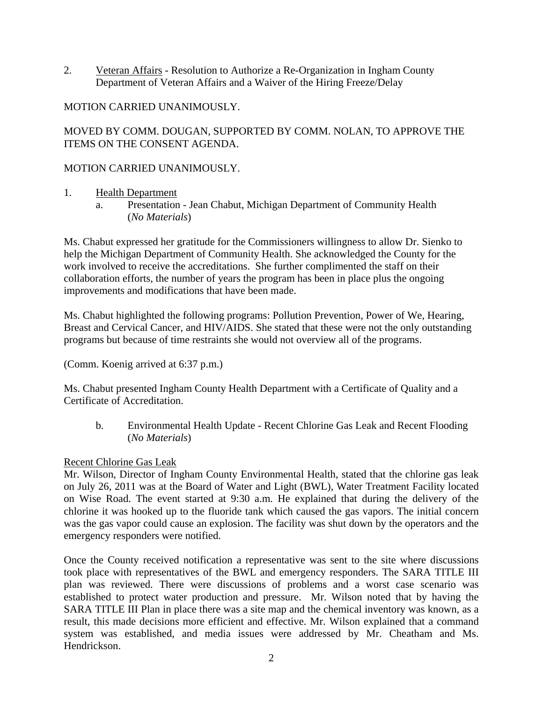2. Veteran Affairs - Resolution to Authorize a Re-Organization in Ingham County Department of Veteran Affairs and a Waiver of the Hiring Freeze/Delay

# MOTION CARRIED UNANIMOUSLY.

MOVED BY COMM. DOUGAN, SUPPORTED BY COMM. NOLAN, TO APPROVE THE ITEMS ON THE CONSENT AGENDA.

## MOTION CARRIED UNANIMOUSLY.

- 1. Health Department
	- a. Presentation Jean Chabut, Michigan Department of Community Health (*No Materials*)

Ms. Chabut expressed her gratitude for the Commissioners willingness to allow Dr. Sienko to help the Michigan Department of Community Health. She acknowledged the County for the work involved to receive the accreditations. She further complimented the staff on their collaboration efforts, the number of years the program has been in place plus the ongoing improvements and modifications that have been made.

Ms. Chabut highlighted the following programs: Pollution Prevention, Power of We, Hearing, Breast and Cervical Cancer, and HIV/AIDS. She stated that these were not the only outstanding programs but because of time restraints she would not overview all of the programs.

(Comm. Koenig arrived at 6:37 p.m.)

Ms. Chabut presented Ingham County Health Department with a Certificate of Quality and a Certificate of Accreditation.

b. Environmental Health Update - Recent Chlorine Gas Leak and Recent Flooding (*No Materials*)

### Recent Chlorine Gas Leak

Mr. Wilson, Director of Ingham County Environmental Health, stated that the chlorine gas leak on July 26, 2011 was at the Board of Water and Light (BWL), Water Treatment Facility located on Wise Road. The event started at 9:30 a.m. He explained that during the delivery of the chlorine it was hooked up to the fluoride tank which caused the gas vapors. The initial concern was the gas vapor could cause an explosion. The facility was shut down by the operators and the emergency responders were notified.

Once the County received notification a representative was sent to the site where discussions took place with representatives of the BWL and emergency responders. The SARA TITLE III plan was reviewed. There were discussions of problems and a worst case scenario was established to protect water production and pressure. Mr. Wilson noted that by having the SARA TITLE III Plan in place there was a site map and the chemical inventory was known, as a result, this made decisions more efficient and effective. Mr. Wilson explained that a command system was established, and media issues were addressed by Mr. Cheatham and Ms. Hendrickson.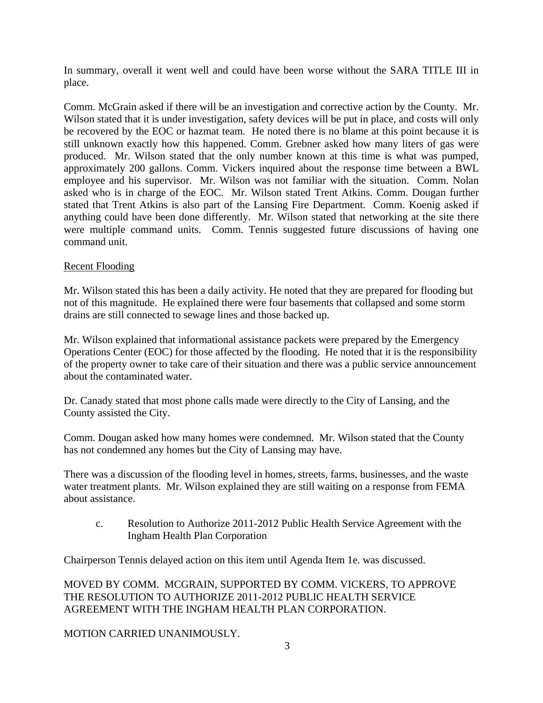In summary, overall it went well and could have been worse without the SARA TITLE III in place.

Comm. McGrain asked if there will be an investigation and corrective action by the County. Mr. Wilson stated that it is under investigation, safety devices will be put in place, and costs will only be recovered by the EOC or hazmat team. He noted there is no blame at this point because it is still unknown exactly how this happened. Comm. Grebner asked how many liters of gas were produced. Mr. Wilson stated that the only number known at this time is what was pumped, approximately 200 gallons. Comm. Vickers inquired about the response time between a BWL employee and his supervisor. Mr. Wilson was not familiar with the situation. Comm. Nolan asked who is in charge of the EOC. Mr. Wilson stated Trent Atkins. Comm. Dougan further stated that Trent Atkins is also part of the Lansing Fire Department. Comm. Koenig asked if anything could have been done differently. Mr. Wilson stated that networking at the site there were multiple command units. Comm. Tennis suggested future discussions of having one command unit.

#### Recent Flooding

Mr. Wilson stated this has been a daily activity. He noted that they are prepared for flooding but not of this magnitude. He explained there were four basements that collapsed and some storm drains are still connected to sewage lines and those backed up.

Mr. Wilson explained that informational assistance packets were prepared by the Emergency Operations Center (EOC) for those affected by the flooding. He noted that it is the responsibility of the property owner to take care of their situation and there was a public service announcement about the contaminated water.

Dr. Canady stated that most phone calls made were directly to the City of Lansing, and the County assisted the City.

Comm. Dougan asked how many homes were condemned. Mr. Wilson stated that the County has not condemned any homes but the City of Lansing may have.

There was a discussion of the flooding level in homes, streets, farms, businesses, and the waste water treatment plants. Mr. Wilson explained they are still waiting on a response from FEMA about assistance.

c. Resolution to Authorize 2011-2012 Public Health Service Agreement with the Ingham Health Plan Corporation

Chairperson Tennis delayed action on this item until Agenda Item 1e. was discussed.

MOVED BY COMM. MCGRAIN, SUPPORTED BY COMM. VICKERS, TO APPROVE THE RESOLUTION TO AUTHORIZE 2011-2012 PUBLIC HEALTH SERVICE AGREEMENT WITH THE INGHAM HEALTH PLAN CORPORATION.

#### MOTION CARRIED UNANIMOUSLY.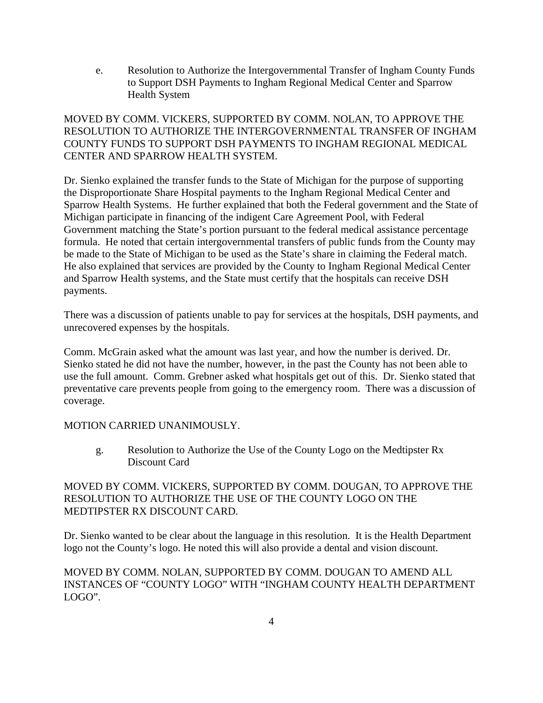e. Resolution to Authorize the Intergovernmental Transfer of Ingham County Funds to Support DSH Payments to Ingham Regional Medical Center and Sparrow Health System

### MOVED BY COMM. VICKERS, SUPPORTED BY COMM. NOLAN, TO APPROVE THE RESOLUTION TO AUTHORIZE THE INTERGOVERNMENTAL TRANSFER OF INGHAM COUNTY FUNDS TO SUPPORT DSH PAYMENTS TO INGHAM REGIONAL MEDICAL CENTER AND SPARROW HEALTH SYSTEM.

Dr. Sienko explained the transfer funds to the State of Michigan for the purpose of supporting the Disproportionate Share Hospital payments to the Ingham Regional Medical Center and Sparrow Health Systems. He further explained that both the Federal government and the State of Michigan participate in financing of the indigent Care Agreement Pool, with Federal Government matching the State's portion pursuant to the federal medical assistance percentage formula. He noted that certain intergovernmental transfers of public funds from the County may be made to the State of Michigan to be used as the State's share in claiming the Federal match. He also explained that services are provided by the County to Ingham Regional Medical Center and Sparrow Health systems, and the State must certify that the hospitals can receive DSH payments.

There was a discussion of patients unable to pay for services at the hospitals, DSH payments, and unrecovered expenses by the hospitals.

Comm. McGrain asked what the amount was last year, and how the number is derived. Dr. Sienko stated he did not have the number, however, in the past the County has not been able to use the full amount. Comm. Grebner asked what hospitals get out of this. Dr. Sienko stated that preventative care prevents people from going to the emergency room. There was a discussion of coverage.

### MOTION CARRIED UNANIMOUSLY.

g. Resolution to Authorize the Use of the County Logo on the Medtipster Rx Discount Card

### MOVED BY COMM. VICKERS, SUPPORTED BY COMM. DOUGAN, TO APPROVE THE RESOLUTION TO AUTHORIZE THE USE OF THE COUNTY LOGO ON THE MEDTIPSTER RX DISCOUNT CARD.

Dr. Sienko wanted to be clear about the language in this resolution. It is the Health Department logo not the County's logo. He noted this will also provide a dental and vision discount.

### MOVED BY COMM. NOLAN, SUPPORTED BY COMM. DOUGAN TO AMEND ALL INSTANCES OF "COUNTY LOGO" WITH "INGHAM COUNTY HEALTH DEPARTMENT LOGO".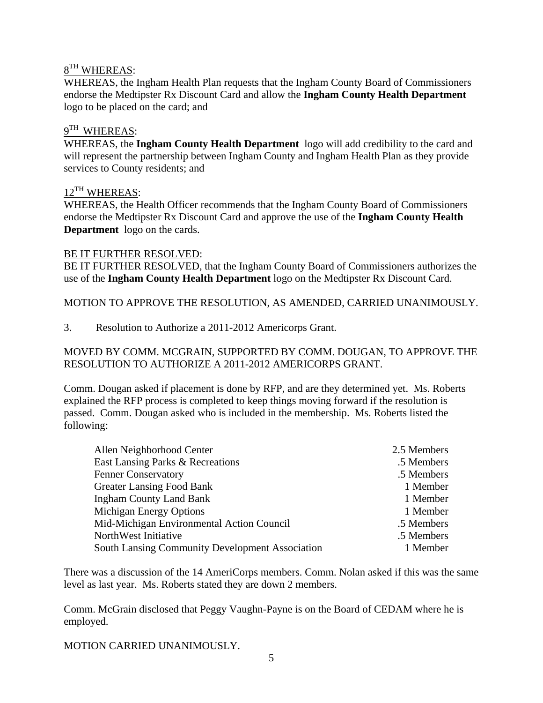# $8<sup>TH</sup>$  WHEREAS:

WHEREAS, the Ingham Health Plan requests that the Ingham County Board of Commissioners endorse the Medtipster Rx Discount Card and allow the **Ingham County Health Department** logo to be placed on the card; and

## $9<sup>TH</sup>$  WHEREAS:

WHEREAS, the **Ingham County Health Department** logo will add credibility to the card and will represent the partnership between Ingham County and Ingham Health Plan as they provide services to County residents; and

### 12<sup>TH</sup> WHEREAS:

WHEREAS, the Health Officer recommends that the Ingham County Board of Commissioners endorse the Medtipster Rx Discount Card and approve the use of the **Ingham County Health Department** logo on the cards.

### BE IT FURTHER RESOLVED:

BE IT FURTHER RESOLVED, that the Ingham County Board of Commissioners authorizes the use of the **Ingham County Health Department** logo on the Medtipster Rx Discount Card.

MOTION TO APPROVE THE RESOLUTION, AS AMENDED, CARRIED UNANIMOUSLY.

3. Resolution to Authorize a 2011-2012 Americorps Grant.

MOVED BY COMM. MCGRAIN, SUPPORTED BY COMM. DOUGAN, TO APPROVE THE RESOLUTION TO AUTHORIZE A 2011-2012 AMERICORPS GRANT.

Comm. Dougan asked if placement is done by RFP, and are they determined yet. Ms. Roberts explained the RFP process is completed to keep things moving forward if the resolution is passed. Comm. Dougan asked who is included in the membership. Ms. Roberts listed the following:

| Allen Neighborhood Center                              | 2.5 Members |
|--------------------------------------------------------|-------------|
| East Lansing Parks & Recreations                       | .5 Members  |
| <b>Fenner Conservatory</b>                             | .5 Members  |
| <b>Greater Lansing Food Bank</b>                       | 1 Member    |
| <b>Ingham County Land Bank</b>                         | 1 Member    |
| <b>Michigan Energy Options</b>                         | 1 Member    |
| Mid-Michigan Environmental Action Council              | .5 Members  |
| NorthWest Initiative                                   | .5 Members  |
| <b>South Lansing Community Development Association</b> | 1 Member    |

There was a discussion of the 14 AmeriCorps members. Comm. Nolan asked if this was the same level as last year. Ms. Roberts stated they are down 2 members.

Comm. McGrain disclosed that Peggy Vaughn-Payne is on the Board of CEDAM where he is employed.

MOTION CARRIED UNANIMOUSLY.